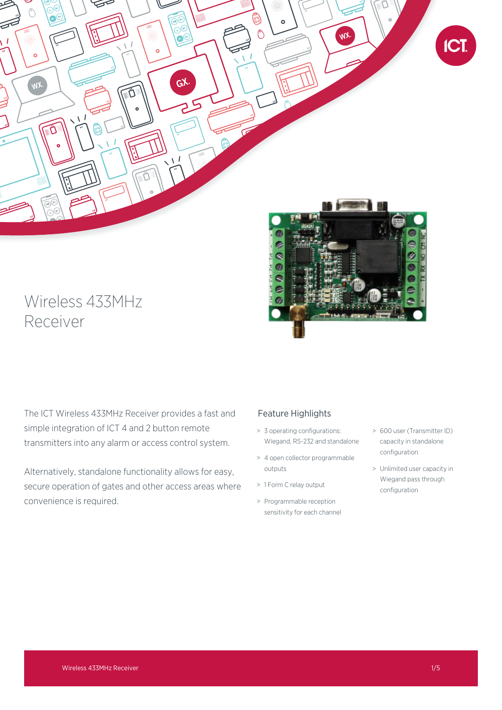

# Wireless 433MHz Receiver

The ICT Wireless 433MHz Receiver provides a fast and simple integration of ICT 4 and 2 button remote transmitters into any alarm or access control system.

Alternatively, standalone functionality allows for easy, secure operation of gates and other access areas where convenience is required.

# Feature Highlights

- > 3 operating configurations: Wiegand, RS-232 and standalone
- > 4 open collector programmable outputs
- > 1 Form C relay output
- > Programmable reception sensitivity for each channel
- > 600 user (Transmitter ID) capacity in standalone configuration
- > Unlimited user capacity in Wiegand pass through configuration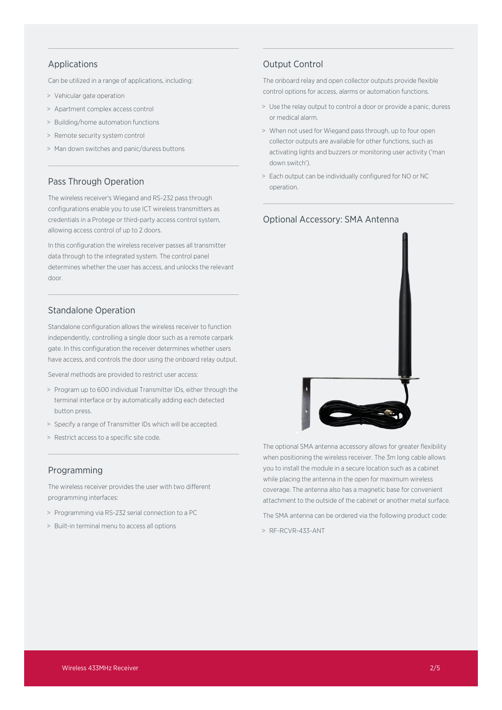# Applications

Can be utilized in a range of applications, including:

- > Vehicular gate operation
- > Apartment complex access control
- > Building/home automation functions
- > Remote security system control
- > Man down switches and panic/duress buttons

# Pass Through Operation

The wireless receiver's Wiegand and RS-232 pass through configurations enable you to use ICT wireless transmitters as credentials in a Protege or third-party access control system, allowing access control of up to 2 doors.

In this configuration the wireless receiver passes all transmitter data through to the integrated system. The control panel determines whether the user has access, and unlocks the relevant door.

# Standalone Operation

Standalone configuration allows the wireless receiver to function independently, controlling a single door such as a remote carpark gate. In this configuration the receiver determines whether users have access, and controls the door using the onboard relay output.

Several methods are provided to restrict user access:

- > Program up to 600 individual Transmitter IDs, either through the terminal interface or by automatically adding each detected button press.
- > Specify a range of Transmitter IDs which will be accepted.
- > Restrict access to a specific site code.

### Programming

The wireless receiver provides the user with two different programming interfaces:

- > Programming via RS-232 serial connection to a PC
- > Built-in terminal menu to access all options

# Output Control

The onboard relay and open collector outputs provide flexible control options for access, alarms or automation functions.

- > Use the relay output to control a door or provide a panic, duress or medical alarm.
- > When not used for Wiegand pass through, up to four open collector outputs are available for other functions, such as activating lights and buzzers or monitoring user activity ('man down switch').
- > Each output can be individually configured for NO or NC operation.



The optional SMA antenna accessory allows for greater flexibility when positioning the wireless receiver. The 3m long cable allows you to install the module in a secure location such as a cabinet while placing the antenna in the open for maximum wireless coverage. The antenna also has a magnetic base for convenient attachment to the outside of the cabinet or another metal surface.

The SMA antenna can be ordered via the following product code:

> RF-RCVR-433-ANT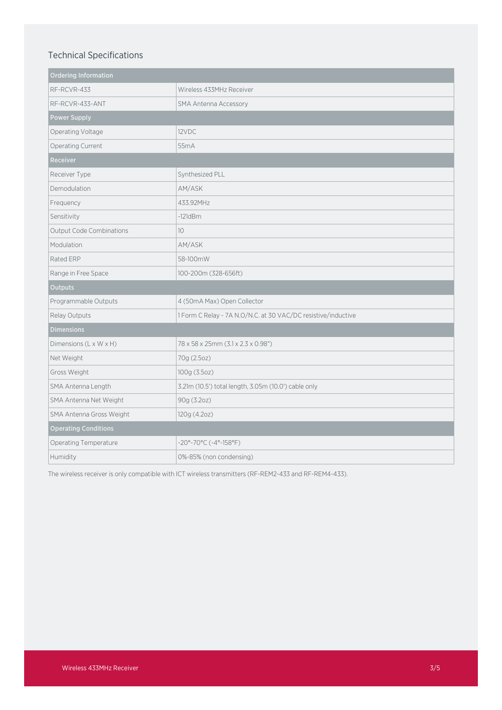# Technical Specifications

| <b>Ordering Information</b>     |                                                               |
|---------------------------------|---------------------------------------------------------------|
| RF-RCVR-433                     | Wireless 433MHz Receiver                                      |
| RF-RCVR-433-ANT                 | <b>SMA Antenna Accessory</b>                                  |
| Power Supply                    |                                                               |
| Operating Voltage               | 12VDC                                                         |
| Operating Current               | 55mA                                                          |
| Receiver                        |                                                               |
| Receiver Type                   | Synthesized PLL                                               |
| Demodulation                    | AM/ASK                                                        |
| Frequency                       | 433.92MHz                                                     |
| Sensitivity                     | $-121dBm$                                                     |
| <b>Output Code Combinations</b> | 10 <sup>1</sup>                                               |
| Modulation                      | AM/ASK                                                        |
| Rated ERP                       | 58-100mW                                                      |
| Range in Free Space             | 100-200m (328-656ft)                                          |
| <b>Outputs</b>                  |                                                               |
| Programmable Outputs            | 4 (50mA Max) Open Collector                                   |
| Relay Outputs                   | 1 Form C Relay - 7A N.O/N.C. at 30 VAC/DC resistive/inductive |
| <b>Dimensions</b>               |                                                               |
| Dimensions (L x W x H)          | 78 x 58 x 25mm (3.1 x 2.3 x 0.98")                            |
| Net Weight                      | 70g (2.5oz)                                                   |
| Gross Weight                    | 100g (3.5oz)                                                  |
| SMA Antenna Length              | 3.21m (10.5') total length, 3.05m (10.0') cable only          |
| SMA Antenna Net Weight          | 90g (3.2oz)                                                   |
| SMA Antenna Gross Weight        | 120g (4.2oz)                                                  |
| <b>Operating Conditions</b>     |                                                               |
| Operating Temperature           | $-20^{\circ} - 70^{\circ}$ C ( $-4^{\circ}$ -158°F)           |
| Humidity                        | 0%-85% (non condensing)                                       |

The wireless receiver is only compatible with ICT wireless transmitters (RF-REM2-433 and RF-REM4-433).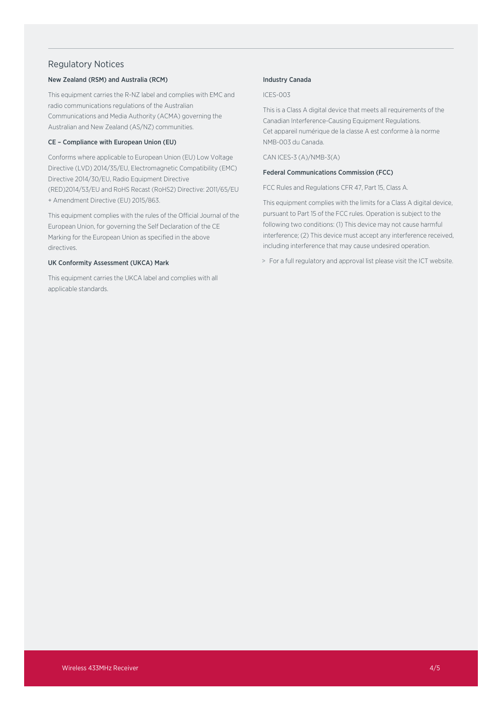## Regulatory Notices

#### New Zealand (RSM) and Australia (RCM)

This equipment carries the R-NZ label and complies with EMC and radio communications regulations of the Australian Communications and Media Authority (ACMA) governing the Australian and New Zealand (AS/NZ) communities.

#### CE – Compliance with European Union (EU)

Conforms where applicable to European Union (EU) Low Voltage Directive (LVD) 2014/35/EU, Electromagnetic Compatibility (EMC) Directive 2014/30/EU, Radio Equipment Directive (RED)2014/53/EU and RoHS Recast (RoHS2) Directive: 2011/65/EU + Amendment Directive (EU) 2015/863.

This equipment complies with the rules of the Official Journal of the European Union, for governing the Self Declaration of the CE Marking for the European Union as specified in the above directives.

#### UK Conformity Assessment (UKCA) Mark

This equipment carries the UKCA label and complies with all applicable standards.

#### Industry Canada

#### ICES-003

This is a Class A digital device that meets all requirements of the Canadian Interference-Causing Equipment Regulations. Cet appareil numérique de la classe A est conforme à la norme NMB-003 du Canada.

CAN ICES-3 (A)/NMB-3(A)

#### Federal Communications Commission (FCC)

FCC Rules and Regulations CFR 47, Part 15, Class A.

This equipment complies with the limits for a Class A digital device, pursuant to Part 15 of the FCC rules. Operation is subject to the following two conditions: (1) This device may not cause harmful interference; (2) This device must accept any interference received, including interference that may cause undesired operation.

> For a full regulatory and approval list please visit the ICT website.